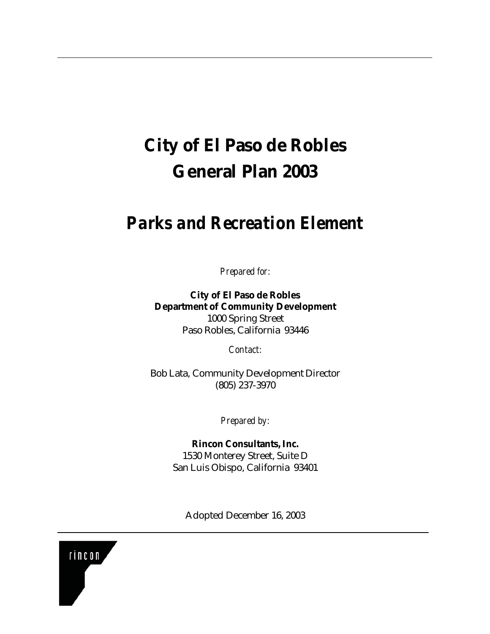## **City of El Paso de Robles General Plan 2003**

## *Parks and Recreation Element*

*Prepared for:*

**City of El Paso de Robles Department of Community Development** 1000 Spring Street Paso Robles, California 93446

*Contact:*

Bob Lata, Community Development Director (805) 237-3970

*Prepared by:*

**Rincon Consultants, Inc.** 1530 Monterey Street, Suite D San Luis Obispo, California 93401

Adopted December 16, 2003

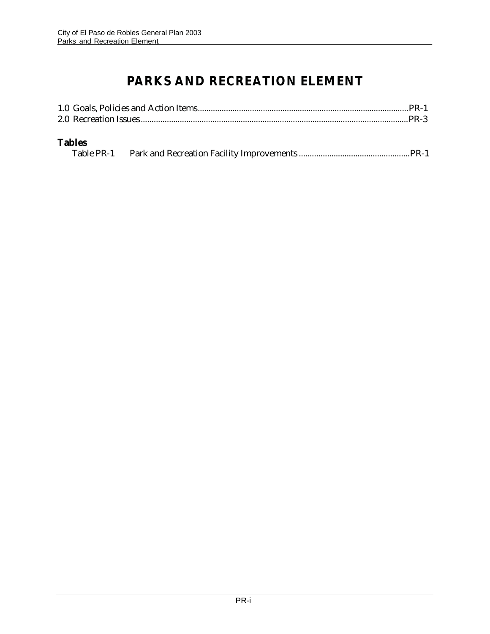## **PARKS AND RECREATION ELEMENT**

| <b>Tables</b> |  |
|---------------|--|
|               |  |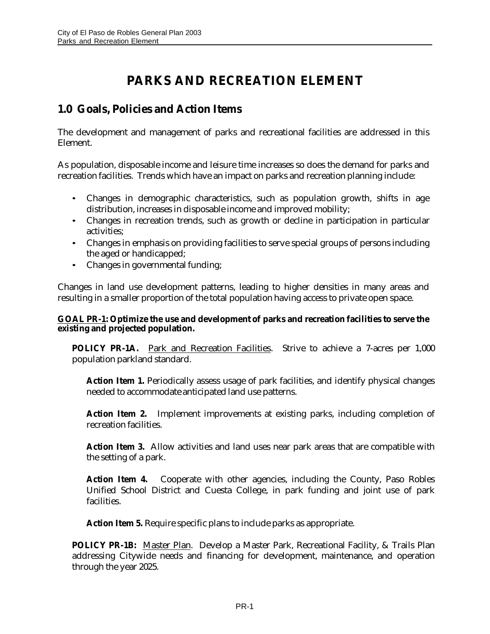## **PARKS AND RECREATION ELEMENT**

### **1.0 Goals, Policies and Action Items**

The development and management of parks and recreational facilities are addressed in this Element.

As population, disposable income and leisure time increases so does the demand for parks and recreation facilities. Trends which have an impact on parks and recreation planning include:

- Changes in demographic characteristics, such as population growth, shifts in age distribution, increases in disposable income and improved mobility;
- Changes in recreation trends, such as growth or decline in participation in particular activities;
- Changes in emphasis on providing facilities to serve special groups of persons including the aged or handicapped;
- Changes in governmental funding;

Changes in land use development patterns, leading to higher densities in many areas and resulting in a smaller proportion of the total population having access to private open space.

#### **GOAL PR-1: Optimize the use and development of parks and recreation facilities to serve the existing and projected population.**

**POLICY PR-1A.** Park and Recreation Facilities. Strive to achieve a 7-acres per 1,000 population parkland standard.

**Action Item 1.** Periodically assess usage of park facilities, and identify physical changes needed to accommodate anticipated land use patterns.

**Action Item 2.** Implement improvements at existing parks, including completion of recreation facilities.

**Action Item 3.** Allow activities and land uses near park areas that are compatible with the setting of a park.

**Action Item 4.** Cooperate with other agencies, including the County, Paso Robles Unified School District and Cuesta College, in park funding and joint use of park facilities.

**Action Item 5.** Require specific plans to include parks as appropriate.

**POLICY PR-1B:** Master Plan. Develop a Master Park, Recreational Facility, & Trails Plan addressing Citywide needs and financing for development, maintenance, and operation through the year 2025.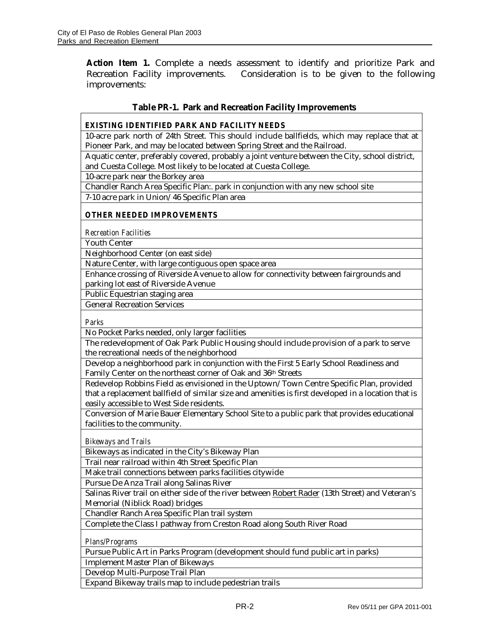**Action Item 1.** Complete a needs assessment to identify and prioritize Park and Recreation Facility improvements. Consideration is to be given to the following improvements:

#### **Table PR-1. Park and Recreation Facility Improvements**

*EXISTING IDENTIFIED PARK AND FACILITY NEEDS*

10-acre park north of 24th Street. This should include ballfields, which may replace that at Pioneer Park, and may be located between Spring Street and the Railroad.

Aquatic center, preferably covered, probably a joint venture between the City, school district, and Cuesta College. Most likely to be located at Cuesta College.

10-acre park near the Borkey area

Chandler Ranch Area Specific Plan:. park in conjunction with any new school site 7-10 acre park in Union/46 Specific Plan area

*OTHER NEEDED IMPROVEMENTS*

*Recreation Facilities*

Youth Center

Neighborhood Center (on east side)

Nature Center, with large contiguous open space area

Enhance crossing of Riverside Avenue to allow for connectivity between fairgrounds and parking lot east of Riverside Avenue

Public Equestrian staging area

General Recreation Services

*Parks*

No Pocket Parks needed, only larger facilities

The redevelopment of Oak Park Public Housing should include provision of a park to serve the recreational needs of the neighborhood

Develop a neighborhood park in conjunction with the First 5 Early School Readiness and Family Center on the northeast corner of Oak and 36th Streets

Redevelop Robbins Field as envisioned in the Uptown/Town Centre Specific Plan, provided that a replacement ballfield of similar size and amenities is first developed in a location that is easily accessible to West Side residents.

Conversion of Marie Bauer Elementary School Site to a public park that provides educational facilities to the community.

*Bikeways and Trails*

Bikeways as indicated in the City's Bikeway Plan

Trail near railroad within 4th Street Specific Plan

Make trail connections between parks facilities citywide

Pursue De Anza Trail along Salinas River

Salinas River trail on either side of the river between Robert Rader (13th Street) and Veteran's Memorial (Niblick Road) bridges

Chandler Ranch Area Specific Plan trail system

Complete the Class I pathway from Creston Road along South River Road

*Plans/Programs*

Pursue Public Art in Parks Program (development should fund public art in parks)

Implement Master Plan of Bikeways

Develop Multi-Purpose Trail Plan

Expand Bikeway trails map to include pedestrian trails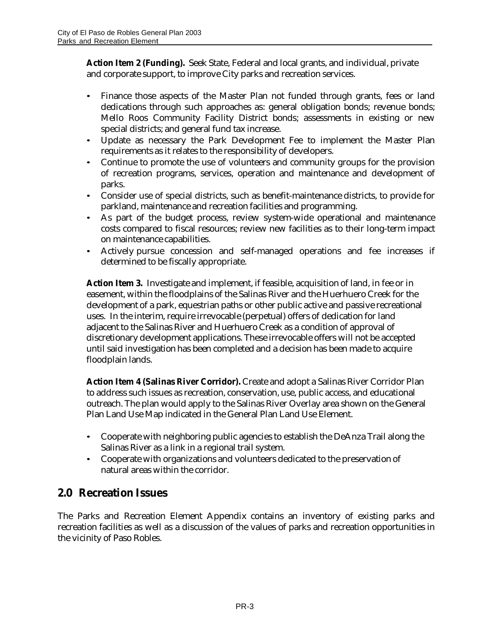**Action Item 2 (Funding).** Seek State, Federal and local grants, and individual, private and corporate support, to improve City parks and recreation services.

- Finance those aspects of the Master Plan not funded through grants, fees or land dedications through such approaches as: general obligation bonds; revenue bonds; Mello Roos Community Facility District bonds; assessments in existing or new special districts; and general fund tax increase.
- Update as necessary the Park Development Fee to implement the Master Plan requirements as it relates to the responsibility of developers.
- Continue to promote the use of volunteers and community groups for the provision of recreation programs, services, operation and maintenance and development of parks.
- Consider use of special districts, such as benefit-maintenance districts, to provide for parkland, maintenance and recreation facilities and programming.
- As part of the budget process, review system-wide operational and maintenance costs compared to fiscal resources; review new facilities as to their long-term impact on maintenance capabilities.
- Actively pursue concession and self-managed operations and fee increases if determined to be fiscally appropriate.

**Action Item 3.** Investigate and implement, if feasible, acquisition of land, in fee or in easement, within the floodplains of the Salinas River and the Huerhuero Creek for the development of a park, equestrian paths or other public active and passive recreational uses. In the interim, require irrevocable (perpetual) offers of dedication for land adjacent to the Salinas River and Huerhuero Creek as a condition of approval of discretionary development applications. These irrevocable offers will not be accepted until said investigation has been completed and a decision has been made to acquire floodplain lands.

**Action Item 4 (Salinas River Corridor).** Create and adopt a Salinas River Corridor Plan to address such issues as recreation, conservation, use, public access, and educational outreach. The plan would apply to the Salinas River Overlay area shown on the General Plan Land Use Map indicated in the General Plan Land Use Element.

- Cooperate with neighboring public agencies to establish the DeAnza Trail along the Salinas River as a link in a regional trail system.
- Cooperate with organizations and volunteers dedicated to the preservation of natural areas within the corridor.

#### **2.0 Recreation Issues**

The Parks and Recreation Element Appendix contains an inventory of existing parks and recreation facilities as well as a discussion of the values of parks and recreation opportunities in the vicinity of Paso Robles.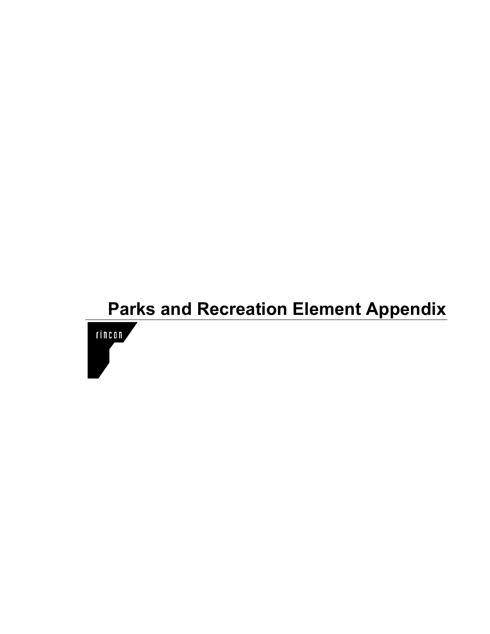# **Parks and Recreation Element Appendix** rincon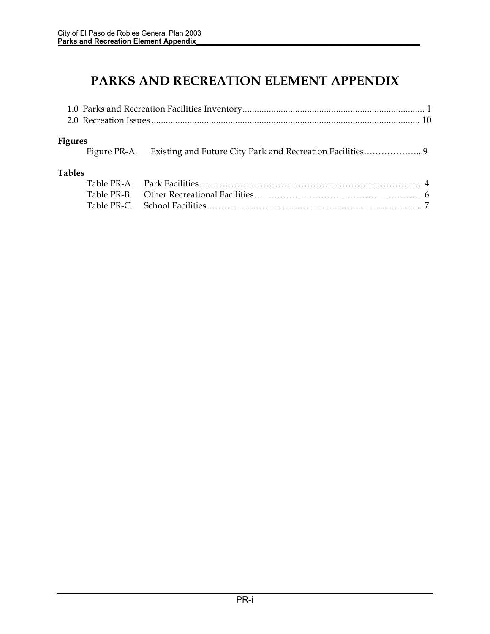## **PARKS AND RECREATION ELEMENT APPENDIX**

| <b>Figures</b> | Figure PR-A. Existing and Future City Park and Recreation Facilities |
|----------------|----------------------------------------------------------------------|
| <b>Tables</b>  |                                                                      |
|                |                                                                      |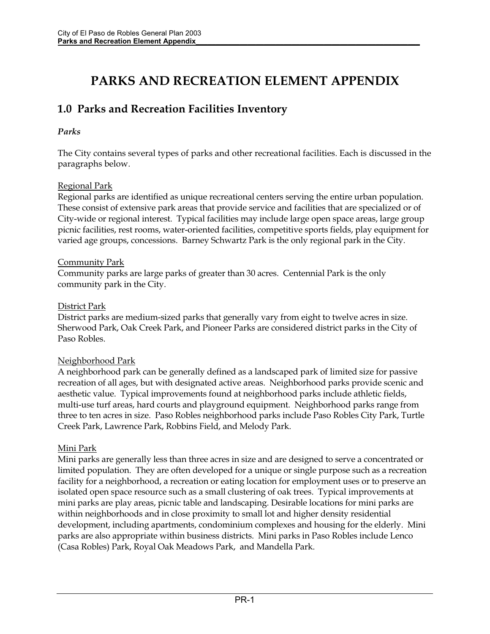## **PARKS AND RECREATION ELEMENT APPENDIX**

## **1.0 Parks and Recreation Facilities Inventory**

#### *Parks*

The City contains several types of parks and other recreational facilities. Each is discussed in the paragraphs below.

#### Regional Park

Regional parks are identified as unique recreational centers serving the entire urban population. These consist of extensive park areas that provide service and facilities that are specialized or of City-wide or regional interest. Typical facilities may include large open space areas, large group picnic facilities, rest rooms, water-oriented facilities, competitive sports fields, play equipment for varied age groups, concessions. Barney Schwartz Park is the only regional park in the City.

#### Community Park

Community parks are large parks of greater than 30 acres. Centennial Park is the only community park in the City.

#### District Park

District parks are medium-sized parks that generally vary from eight to twelve acres in size. Sherwood Park, Oak Creek Park, and Pioneer Parks are considered district parks in the City of Paso Robles.

#### Neighborhood Park

A neighborhood park can be generally defined as a landscaped park of limited size for passive recreation of all ages, but with designated active areas. Neighborhood parks provide scenic and aesthetic value. Typical improvements found at neighborhood parks include athletic fields, multi-use turf areas, hard courts and playground equipment. Neighborhood parks range from three to ten acres in size. Paso Robles neighborhood parks include Paso Robles City Park, Turtle Creek Park, Lawrence Park, Robbins Field, and Melody Park.

#### Mini Park

Mini parks are generally less than three acres in size and are designed to serve a concentrated or limited population. They are often developed for a unique or single purpose such as a recreation facility for a neighborhood, a recreation or eating location for employment uses or to preserve an isolated open space resource such as a small clustering of oak trees. Typical improvements at mini parks are play areas, picnic table and landscaping. Desirable locations for mini parks are within neighborhoods and in close proximity to small lot and higher density residential development, including apartments, condominium complexes and housing for the elderly. Mini parks are also appropriate within business districts. Mini parks in Paso Robles include Lenco (Casa Robles) Park, Royal Oak Meadows Park, and Mandella Park.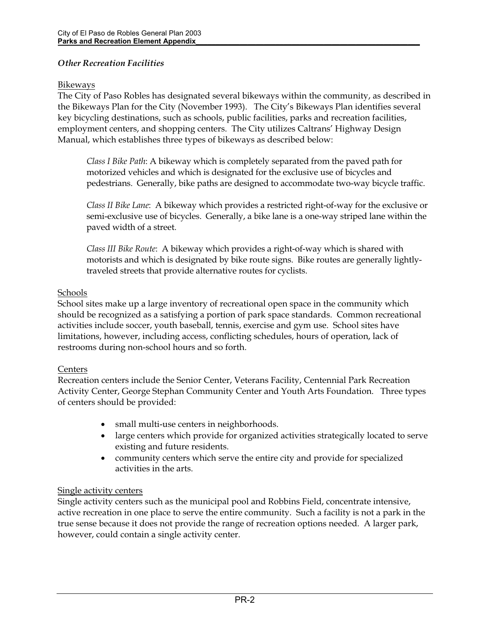#### *Other Recreation Facilities*

#### Bikeways

The City of Paso Robles has designated several bikeways within the community, as described in the Bikeways Plan for the City (November 1993). The City's Bikeways Plan identifies several key bicycling destinations, such as schools, public facilities, parks and recreation facilities, employment centers, and shopping centers. The City utilizes Caltrans' Highway Design Manual, which establishes three types of bikeways as described below:

*Class I Bike Path*: A bikeway which is completely separated from the paved path for motorized vehicles and which is designated for the exclusive use of bicycles and pedestrians. Generally, bike paths are designed to accommodate two-way bicycle traffic.

*Class II Bike Lane*: A bikeway which provides a restricted right-of-way for the exclusive or semi-exclusive use of bicycles. Generally, a bike lane is a one-way striped lane within the paved width of a street.

*Class III Bike Route*: A bikeway which provides a right-of-way which is shared with motorists and which is designated by bike route signs. Bike routes are generally lightlytraveled streets that provide alternative routes for cyclists.

#### Schools

School sites make up a large inventory of recreational open space in the community which should be recognized as a satisfying a portion of park space standards. Common recreational activities include soccer, youth baseball, tennis, exercise and gym use. School sites have limitations, however, including access, conflicting schedules, hours of operation, lack of restrooms during non-school hours and so forth.

#### Centers

Recreation centers include the Senior Center, Veterans Facility, Centennial Park Recreation Activity Center, George Stephan Community Center and Youth Arts Foundation. Three types of centers should be provided:

- small multi-use centers in neighborhoods.
- large centers which provide for organized activities strategically located to serve existing and future residents.
- community centers which serve the entire city and provide for specialized activities in the arts.

#### Single activity centers

Single activity centers such as the municipal pool and Robbins Field, concentrate intensive, active recreation in one place to serve the entire community. Such a facility is not a park in the true sense because it does not provide the range of recreation options needed. A larger park, however, could contain a single activity center.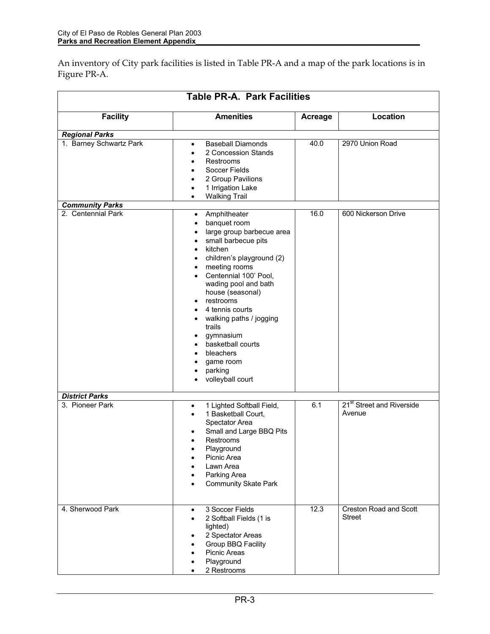An inventory of City park facilities is listed in Table PR-A and a map of the park locations is in Figure PR-A.

| <b>Table PR-A. Park Facilities</b> |                                                                                                                                                                                                                                                                                                                                                                                                                                                                                                     |                |                                                 |
|------------------------------------|-----------------------------------------------------------------------------------------------------------------------------------------------------------------------------------------------------------------------------------------------------------------------------------------------------------------------------------------------------------------------------------------------------------------------------------------------------------------------------------------------------|----------------|-------------------------------------------------|
| <b>Facility</b>                    | <b>Amenities</b>                                                                                                                                                                                                                                                                                                                                                                                                                                                                                    | <b>Acreage</b> | Location                                        |
| <b>Regional Parks</b>              |                                                                                                                                                                                                                                                                                                                                                                                                                                                                                                     |                |                                                 |
| 1. Barney Schwartz Park            | <b>Baseball Diamonds</b><br>$\bullet$<br>2 Concession Stands<br>Restrooms<br>Soccer Fields<br>2 Group Pavilions<br>1 Irrigation Lake<br><b>Walking Trail</b><br>$\bullet$                                                                                                                                                                                                                                                                                                                           | 40.0           | 2970 Union Road                                 |
| <b>Community Parks</b>             |                                                                                                                                                                                                                                                                                                                                                                                                                                                                                                     |                |                                                 |
| 2. Centennial Park                 | Amphitheater<br>$\bullet$<br>banquet room<br>$\bullet$<br>large group barbecue area<br>small barbecue pits<br>$\bullet$<br>kitchen<br>$\bullet$<br>children's playground (2)<br>$\bullet$<br>meeting rooms<br>$\bullet$<br>Centennial 100' Pool,<br>$\bullet$<br>wading pool and bath<br>house (seasonal)<br>restrooms<br>4 tennis courts<br>walking paths / jogging<br>$\bullet$<br>trails<br>gymnasium<br>basketball courts<br>$\bullet$<br>bleachers<br>game room<br>parking<br>volleyball court | 16.0           | 600 Nickerson Drive                             |
| <b>District Parks</b>              |                                                                                                                                                                                                                                                                                                                                                                                                                                                                                                     |                |                                                 |
| 3. Pioneer Park                    | 1 Lighted Softball Field,<br>$\bullet$<br>1 Basketball Court,<br>٠<br>Spectator Area<br>Small and Large BBQ Pits<br>Restrooms<br>Playground<br>Picnic Area<br>$\bullet$<br>Lawn Area<br>Parking Area<br><b>Community Skate Park</b>                                                                                                                                                                                                                                                                 | 6.1            | 21 <sup>st</sup> Street and Riverside<br>Avenue |
| 4. Sherwood Park                   | 3 Soccer Fields<br>$\bullet$<br>2 Softball Fields (1 is<br>٠<br>lighted)<br>2 Spectator Areas<br>Group BBQ Facility<br>Picnic Areas<br>Playground<br>2 Restrooms                                                                                                                                                                                                                                                                                                                                    | 12.3           | <b>Creston Road and Scott</b><br><b>Street</b>  |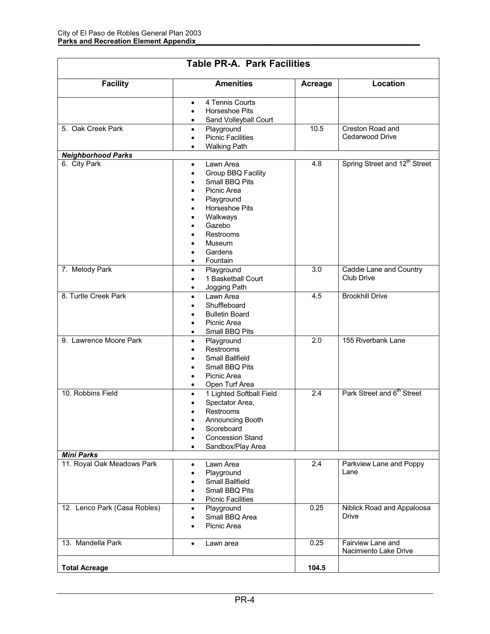| <b>Table PR-A. Park Facilities</b> |                                                                                                                                                                                   |                  |                                            |  |
|------------------------------------|-----------------------------------------------------------------------------------------------------------------------------------------------------------------------------------|------------------|--------------------------------------------|--|
| <b>Facility</b>                    | <b>Amenities</b>                                                                                                                                                                  | <b>Acreage</b>   | <b>Location</b>                            |  |
| 5. Oak Creek Park                  | 4 Tennis Courts<br>٠<br>Horseshoe Pits<br>$\bullet$<br>Sand Volleyball Court<br>$\bullet$<br>Playground<br>٠<br><b>Picnic Facilities</b>                                          | 10.5             | Creston Road and<br>Cedarwood Drive        |  |
| <b>Neighborhood Parks</b>          | <b>Walking Path</b>                                                                                                                                                               |                  |                                            |  |
| 6. City Park                       | Lawn Area<br>$\bullet$<br>Group BBQ Facility<br>Small BBQ Pits<br>Picnic Area<br>Playground<br>Horseshoe Pits<br>Walkways<br>Gazebo<br>Restrooms<br>Museum<br>Gardens<br>Fountain | 4.8              | Spring Street and 12 <sup>th</sup> Street  |  |
| 7. Melody Park                     | Playground<br>٠<br>1 Basketball Court<br>Jogging Path<br>$\bullet$                                                                                                                | 3.0              | Caddie Lane and Country<br>Club Drive      |  |
| 8. Turtle Creek Park               | Lawn Area<br>٠<br>Shuffleboard<br><b>Bulletin Board</b><br>Picnic Area<br>Small BBQ Pits<br>٠                                                                                     | 4.5              | <b>Brookhill Drive</b>                     |  |
| 9. Lawrence Moore Park             | Playground<br>$\bullet$<br><b>Restrooms</b><br>Small Ballfield<br>Small BBQ Pits<br>Picnic Area<br>Open Turf Area<br>٠                                                            | $\overline{2.0}$ | 155 Riverbank Lane                         |  |
| 10. Robbins Field                  | 1 Lighted Softball Field<br>$\bullet$<br>Spectator Area,<br>Restrooms<br>Announcing Booth<br>٠<br>Scoreboard<br><b>Concession Stand</b><br>Sandbox/Play Area<br>٠                 | 2.4              | Park Street and 6 <sup>th</sup> Street     |  |
| <b>Mini Parks</b>                  |                                                                                                                                                                                   |                  |                                            |  |
| 11. Royal Oak Meadows Park         | Lawn Area<br>$\bullet$<br>Playground<br><b>Small Ballfield</b><br>Small BBQ Pits<br><b>Picnic Facilities</b><br>٠                                                                 | 2.4              | Parkview Lane and Poppy<br>Lane            |  |
| 12. Lenco Park (Casa Robles)       | Playground<br>$\bullet$<br>Small BBQ Area<br>٠<br>Picnic Area                                                                                                                     | 0.25             | Niblick Road and Appaloosa<br><b>Drive</b> |  |
| 13. Mandella Park                  | Lawn area<br>$\bullet$                                                                                                                                                            | 0.25             | Fairview Lane and<br>Nacimiento Lake Drive |  |
| <b>Total Acreage</b>               |                                                                                                                                                                                   | 104.5            |                                            |  |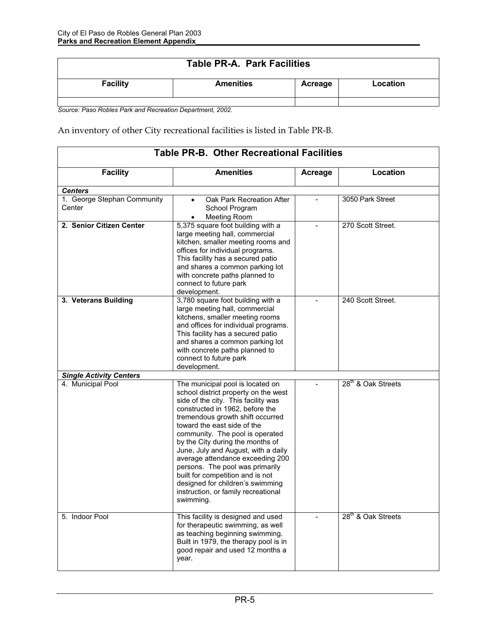| <b>Table PR-A. Park Facilities</b> |                  |         |          |  |
|------------------------------------|------------------|---------|----------|--|
| <b>Facility</b>                    | <b>Amenities</b> | Acreage | Location |  |
|                                    |                  |         |          |  |

*Source: Paso Robles Park and Recreation Department, 2002.* 

An inventory of other City recreational facilities is listed in Table PR-B.

| <b>Facility</b>                       | <b>Amenities</b>                                                                                                                                                                                                                                                                                                                                                                                                                                                                                                                       | Acreage | Location                       |
|---------------------------------------|----------------------------------------------------------------------------------------------------------------------------------------------------------------------------------------------------------------------------------------------------------------------------------------------------------------------------------------------------------------------------------------------------------------------------------------------------------------------------------------------------------------------------------------|---------|--------------------------------|
| <b>Centers</b>                        |                                                                                                                                                                                                                                                                                                                                                                                                                                                                                                                                        |         |                                |
| 1. George Stephan Community<br>Center | Oak Park Recreation After<br>$\bullet$<br>School Program<br><b>Meeting Room</b><br>$\bullet$                                                                                                                                                                                                                                                                                                                                                                                                                                           |         | 3050 Park Street               |
| 2. Senior Citizen Center              | 5,375 square foot building with a<br>large meeting hall, commercial<br>kitchen, smaller meeting rooms and<br>offices for individual programs.<br>This facility has a secured patio<br>and shares a common parking lot<br>with concrete paths planned to<br>connect to future park<br>development.                                                                                                                                                                                                                                      |         | 270 Scott Street.              |
| 3. Veterans Building                  | 3,780 square foot building with a<br>large meeting hall, commercial<br>kitchens, smaller meeting rooms<br>and offices for individual programs.<br>This facility has a secured patio<br>and shares a common parking lot<br>with concrete paths planned to<br>connect to future park<br>development.                                                                                                                                                                                                                                     |         | 240 Scott Street.              |
| <b>Single Activity Centers</b>        |                                                                                                                                                                                                                                                                                                                                                                                                                                                                                                                                        |         |                                |
| 4. Municipal Pool                     | The municipal pool is located on<br>school district property on the west<br>side of the city. This facility was<br>constructed in 1962, before the<br>tremendous growth shift occurred<br>toward the east side of the<br>community. The pool is operated<br>by the City during the months of<br>June, July and August, with a daily<br>average attendance exceeding 200<br>persons. The pool was primarily<br>built for competition and is not<br>designed for children's swimming<br>instruction, or family recreational<br>swimming. |         | 28 <sup>th</sup> & Oak Streets |
| 5. Indoor Pool                        | This facility is designed and used<br>for therapeutic swimming, as well<br>as teaching beginning swimming.<br>Built in 1979, the therapy pool is in<br>good repair and used 12 months a<br>year.                                                                                                                                                                                                                                                                                                                                       |         | 28 <sup>th</sup> & Oak Streets |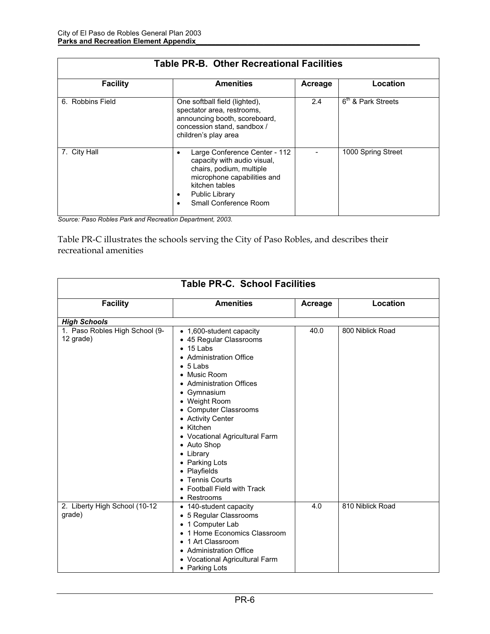| <b>Table PR-B. Other Recreational Facilities</b> |                                                                                                                                                                                             |         |                      |
|--------------------------------------------------|---------------------------------------------------------------------------------------------------------------------------------------------------------------------------------------------|---------|----------------------|
| <b>Facility</b>                                  | <b>Amenities</b>                                                                                                                                                                            | Acreage | Location             |
| 6. Robbins Field                                 | One softball field (lighted),<br>spectator area, restrooms,<br>announcing booth, scoreboard,<br>concession stand, sandbox /<br>children's play area                                         | 2.4     | $6th$ & Park Streets |
| 7. City Hall                                     | Large Conference Center - 112<br>capacity with audio visual,<br>chairs, podium, multiple<br>microphone capabilities and<br>kitchen tables<br><b>Public Library</b><br>Small Conference Room |         | 1000 Spring Street   |

| Source: Paso Robles Park and Recreation Department, 2003. |  |
|-----------------------------------------------------------|--|

Table PR-C illustrates the schools serving the City of Paso Robles, and describes their recreational amenities

| <b>Table PR-C. School Facilities</b>        |                                                                                                                                                                                                                                                                                                                                                                                                                                 |         |                  |  |
|---------------------------------------------|---------------------------------------------------------------------------------------------------------------------------------------------------------------------------------------------------------------------------------------------------------------------------------------------------------------------------------------------------------------------------------------------------------------------------------|---------|------------------|--|
| <b>Facility</b>                             | <b>Amenities</b>                                                                                                                                                                                                                                                                                                                                                                                                                | Acreage | Location         |  |
| <b>High Schools</b>                         |                                                                                                                                                                                                                                                                                                                                                                                                                                 |         |                  |  |
| 1. Paso Robles High School (9-<br>12 grade) | • 1,600-student capacity<br>• 45 Regular Classrooms<br>$\bullet$ 15 Labs<br>• Administration Office<br>$\bullet$ 5 Labs<br>• Music Room<br>• Administration Offices<br>• Gymnasium<br>• Weight Room<br>• Computer Classrooms<br>• Activity Center<br>• Kitchen<br>• Vocational Agricultural Farm<br>• Auto Shop<br>• Library<br>• Parking Lots<br>• Playfields<br>• Tennis Courts<br>• Football Field with Track<br>• Restrooms | 40.0    | 800 Niblick Road |  |
| 2. Liberty High School (10-12)<br>grade)    | • 140-student capacity<br>• 5 Regular Classrooms<br>• 1 Computer Lab<br>• 1 Home Economics Classroom<br>• 1 Art Classroom<br>• Administration Office<br>• Vocational Agricultural Farm<br>• Parking Lots                                                                                                                                                                                                                        | 4.0     | 810 Niblick Road |  |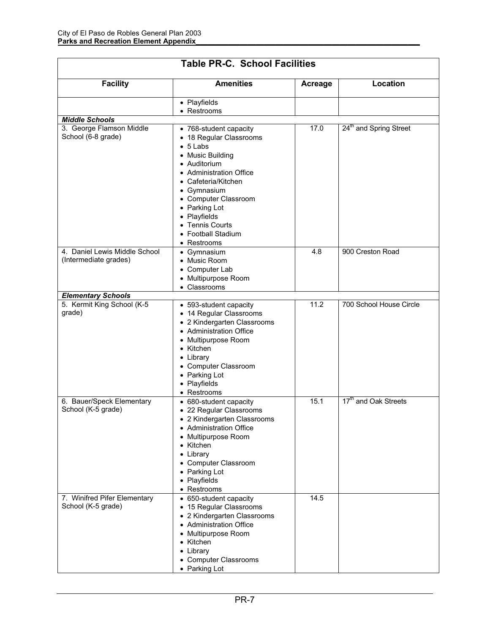| <b>Table PR-C. School Facilities</b>                                            |                                                                                                                                                                                                                                                                   |              |                                    |  |
|---------------------------------------------------------------------------------|-------------------------------------------------------------------------------------------------------------------------------------------------------------------------------------------------------------------------------------------------------------------|--------------|------------------------------------|--|
| <b>Facility</b>                                                                 | <b>Amenities</b>                                                                                                                                                                                                                                                  | Acreage      | Location                           |  |
|                                                                                 | • Playfields<br>• Restrooms                                                                                                                                                                                                                                       |              |                                    |  |
| <b>Middle Schools</b>                                                           |                                                                                                                                                                                                                                                                   |              |                                    |  |
| 3. George Flamson Middle                                                        | • 768-student capacity                                                                                                                                                                                                                                            | 17.0         | 24 <sup>th</sup> and Spring Street |  |
| School (6-8 grade)                                                              | • 18 Regular Classrooms<br>$\bullet$ 5 Labs<br>• Music Building<br>• Auditorium<br>• Administration Office<br>• Cafeteria/Kitchen<br>• Gymnasium<br>• Computer Classroom<br>• Parking Lot<br>• Playfields<br>• Tennis Courts<br>• Football Stadium<br>• Restrooms |              |                                    |  |
| 4. Daniel Lewis Middle School<br>(Intermediate grades)                          | • Gymnasium<br>• Music Room<br>• Computer Lab<br>• Multipurpose Room<br>• Classrooms                                                                                                                                                                              | 4.8          | 900 Creston Road                   |  |
| <b>Elementary Schools</b>                                                       |                                                                                                                                                                                                                                                                   |              |                                    |  |
| 5. Kermit King School (K-5<br>grade)                                            | • 593-student capacity<br>• 14 Regular Classrooms<br>• 2 Kindergarten Classrooms<br>• Administration Office<br>• Multipurpose Room<br>• Kitchen<br>• Library<br>• Computer Classroom<br>• Parking Lot<br>• Playfields<br>• Restrooms                              | 11.2         | 700 School House Circle            |  |
| 6. Bauer/Speck Elementary<br>School (K-5 grade)<br>7. Winifred Pifer Elementary | • 680-student capacity<br>• 22 Regular Classrooms<br>• 2 Kindergarten Classrooms<br>• Administration Office<br>• Multipurpose Room<br>• Kitchen<br>• Library<br>• Computer Classroom<br>• Parking Lot<br>• Playfields<br>• Restrooms<br>• 650-student capacity    | 15.1<br>14.5 | 17 <sup>th</sup> and Oak Streets   |  |
| School (K-5 grade)                                                              | • 15 Regular Classrooms<br>• 2 Kindergarten Classrooms<br>• Administration Office<br>• Multipurpose Room<br>• Kitchen<br>• Library<br>• Computer Classrooms<br>• Parking Lot                                                                                      |              |                                    |  |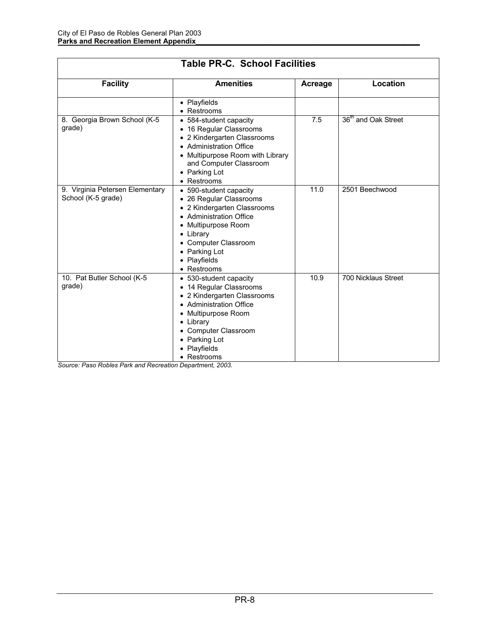| <b>Table PR-C. School Facilities</b>                  |                                                                                                                                                                                                                         |                |                                 |  |
|-------------------------------------------------------|-------------------------------------------------------------------------------------------------------------------------------------------------------------------------------------------------------------------------|----------------|---------------------------------|--|
| <b>Facility</b>                                       | <b>Amenities</b>                                                                                                                                                                                                        | <b>Acreage</b> | Location                        |  |
|                                                       | • Playfields<br>• Restrooms                                                                                                                                                                                             |                |                                 |  |
| 8. Georgia Brown School (K-5<br>grade)                | • 584-student capacity<br>• 16 Regular Classrooms<br>• 2 Kindergarten Classrooms<br>• Administration Office<br>• Multipurpose Room with Library<br>and Computer Classroom<br>• Parking Lot<br>• Restrooms               | 7.5            | 36 <sup>th</sup> and Oak Street |  |
| 9. Virginia Petersen Elementary<br>School (K-5 grade) | • 590-student capacity<br>• 26 Regular Classrooms<br>• 2 Kindergarten Classrooms<br>• Administration Office<br>• Multipurpose Room<br>• Library<br>• Computer Classroom<br>• Parking Lot<br>• Playfields<br>• Restrooms | 11.0           | 2501 Beechwood                  |  |
| 10. Pat Butler School (K-5<br>grade)                  | • 530-student capacity<br>• 14 Regular Classrooms<br>• 2 Kindergarten Classrooms<br>• Administration Office<br>• Multipurpose Room<br>• Library<br>• Computer Classroom<br>• Parking Lot<br>• Playfields<br>• Restrooms | 10.9           | 700 Nicklaus Street             |  |

x Restrooms *Source: Paso Robles Park and Recreation Department, 2003.*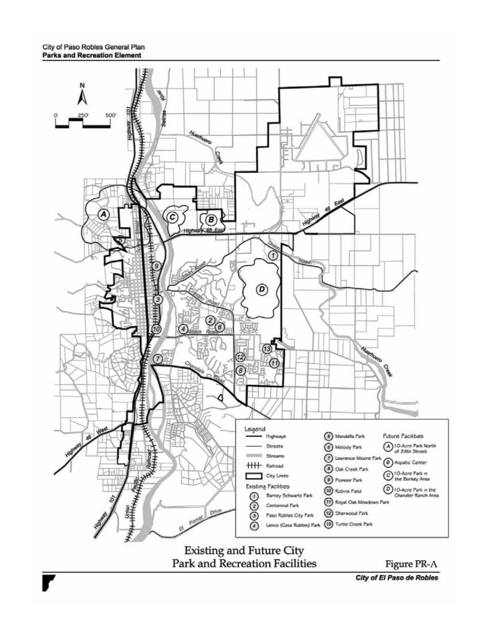

City of El Paso de Robles